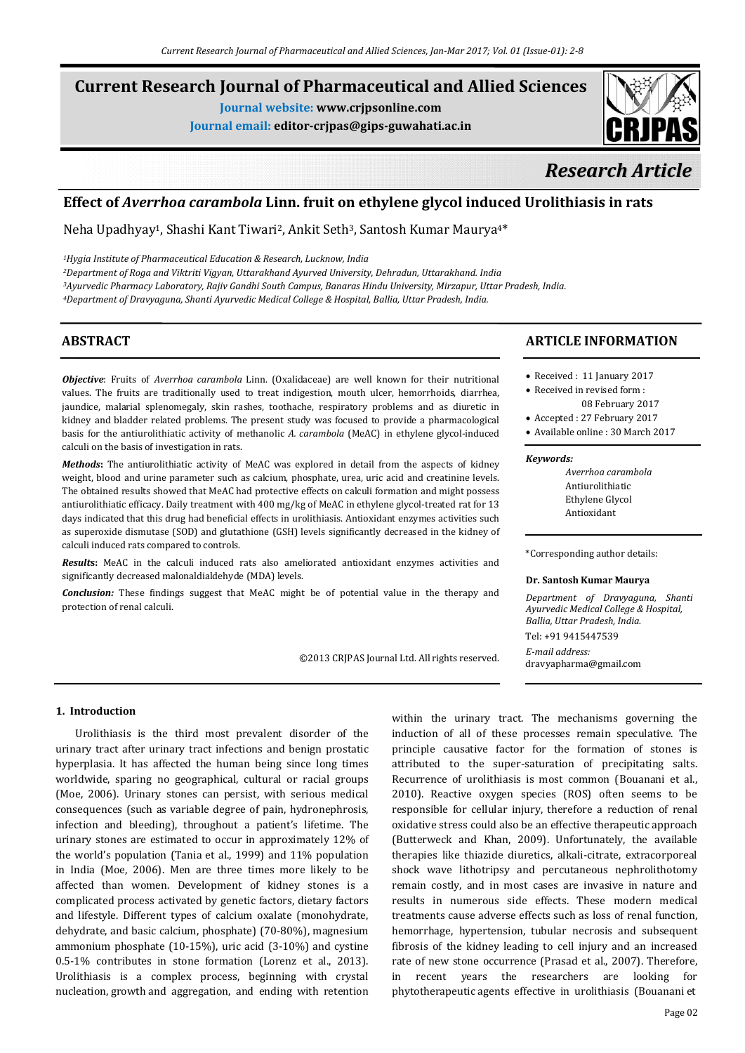# **Current Research Journal of Pharmaceutical and Allied Sciences**

**Journal website: www.crjpsonline.com**

**Journal email: editor-crjpas@gips-guwahati.ac.in**



# *Research Article*

# **Effect of** *Averrhoa carambola* **Linn. fruit on ethylene glycol induced Urolithiasis in rats**

Neha Upadhyay<sup>1</sup>, Shashi Kant Tiwari<sup>2</sup>, Ankit Seth<sup>3</sup>, Santosh Kumar Maurya<sup>4\*</sup>

*1Hygia Institute of Pharmaceutical Education & Research, Lucknow, India*

*2Department of Roga and Viktriti Vigyan, Uttarakhand Ayurved University, Dehradun, Uttarakhand. India 3Ayurvedic Pharmacy Laboratory, Rajiv Gandhi South Campus, Banaras Hindu University, Mirzapur, Uttar Pradesh, India. 4Department of Dravyaguna, Shanti Ayurvedic Medical College & Hospital, Ballia, Uttar Pradesh, India.*

# **ABSTRACT**

*Objective*: Fruits of *Averrhoa carambola* Linn. (Oxalidaceae) are well known for their nutritional values. The fruits are traditionally used to treat indigestion, mouth ulcer, hemorrhoids, diarrhea, jaundice, malarial splenomegaly, skin rashes, toothache, respiratory problems and as diuretic in kidney and bladder related problems. The present study was focused to provide a pharmacological basis for the antiurolithiatic activity of methanolic *A. carambola* (MeAC) in ethylene glycol-induced calculi on the basis of investigation in rats.

*Methods***:** The antiurolithiatic activity of MeAC was explored in detail from the aspects of kidney weight, blood and urine parameter such as calcium, phosphate, urea, uric acid and creatinine levels. The obtained results showed that MeAC had protective effects on calculi formation and might possess antiurolithiatic efficacy. Daily treatment with 400 mg/kg of MeAC in ethylene glycol-treated rat for 13 days indicated that this drug had beneficial effects in urolithiasis. Antioxidant enzymes activities such as superoxide dismutase (SOD) and glutathione (GSH) levels significantly decreased in the kidney of calculi induced rats compared to controls.

*Result***s:** MeAC in the calculi induced rats also ameliorated antioxidant enzymes activities and significantly decreased malonaldialdehyde (MDA) levels.

*Conclusion:* These findings suggest that MeAC might be of potential value in the therapy and protection of renal calculi.

©2013 CRJPAS Journal Ltd. All rights reserved.

# **ARTICLE INFORMATION**

- Received : 11 January 2017
- Received in revised form : 08 February 2017
- Accepted : 27 February 2017
- Available online : 30 March 2017

### *Keywords:*

 *Averrhoa carambola* Antiurolithiatic **Ethylene Glycol** Antioxidant

\*Corresponding author details:

# **Dr. Santosh Kumar Maurya**

*Department of Dravyaguna, Shanti Ayurvedic Medical College & Hospital, Ballia, Uttar Pradesh, India.*

Tel: +91 9415447539 *E-mail address:* dravyapharma@gmail.com

# **1. Introduction**

Urolithiasis is the third most prevalent disorder of the urinary tract after urinary tract infections and benign prostatic hyperplasia. It has affected the human being since long times worldwide, sparing no geographical, cultural or racial groups (Moe, 2006). Urinary stones can persist, with serious medical consequences (such as variable degree of pain, hydronephrosis, infection and bleeding), throughout a patient's lifetime. The urinary stones are estimated to occur in approximately 12% of the world's population (Tania et al., 1999) and 11% population in India (Moe, 2006). Men are three times more likely to be affected than women. Development of kidney stones is a complicated process activated by genetic factors, dietary factors and lifestyle. Different types of calcium oxalate (monohydrate, dehydrate, and basic calcium, phosphate) (70-80%), magnesium ammonium phosphate (10-15%), uric acid (3-10%) and cystine 0.5-1% contributes in stone formation (Lorenz et al., 2013). Urolithiasis is a complex process, beginning with crystal nucleation, growth and aggregation, and ending with retention

within the urinary tract. The mechanisms governing the induction of all of these processes remain speculative. The principle causative factor for the formation of stones is attributed to the super-saturation of precipitating salts. Recurrence of urolithiasis is most common (Bouanani et al., 2010). Reactive oxygen species (ROS) often seems to be responsible for cellular injury, therefore a reduction of renal oxidative stress could also be an effective therapeutic approach (Butterweck and Khan, 2009). Unfortunately, the available therapies like thiazide diuretics, alkali-citrate, extracorporeal shock wave lithotripsy and percutaneous nephrolithotomy remain costly, and in most cases are invasive in nature and results in numerous side effects. These modern medical treatments cause adverse effects such as loss of renal function, hemorrhage, hypertension, tubular necrosis and subsequent fibrosis of the kidney leading to cell injury and an increased rate of new stone occurrence (Prasad et al., 2007). Therefore, in recent years the researchers are looking for phytotherapeutic agents effective in urolithiasis (Bouanani et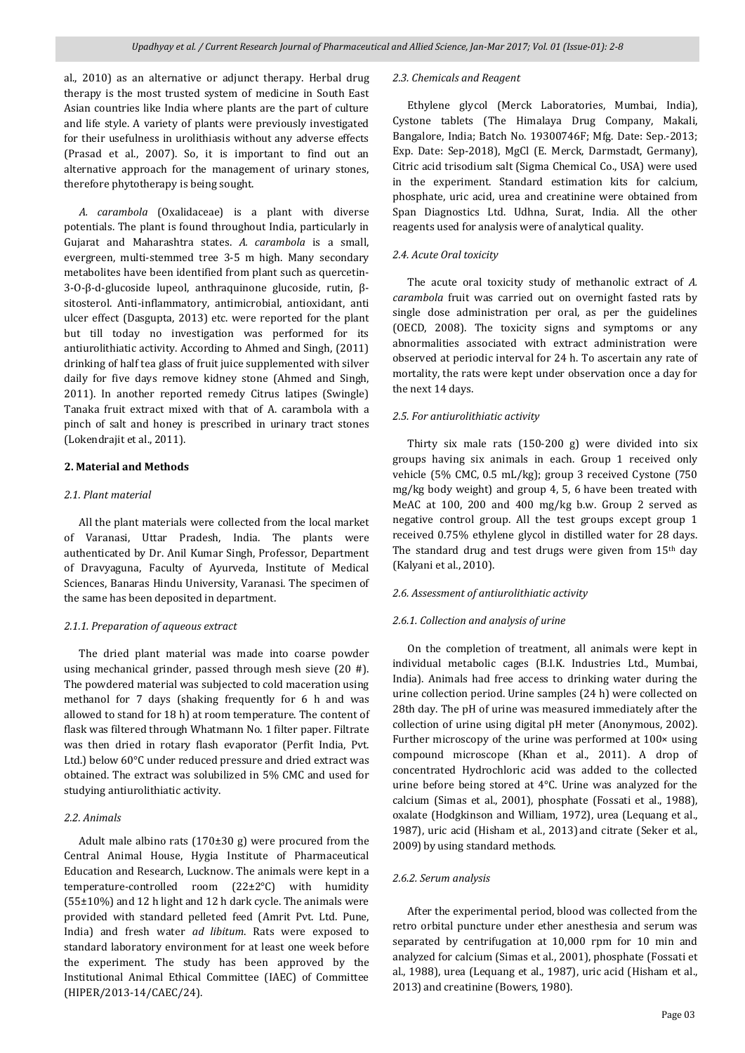al., 2010) as an alternative or adjunct therapy. Herbal drug therapy is the most trusted system of medicine in South East Asian countries like India where plants are the part of culture and life style. A variety of plants were previously investigated for their usefulness in urolithiasis without any adverse effects (Prasad et al., 2007). So, it is important to find out an alternative approach for the management of urinary stones, therefore phytotherapy is being sought.

 *A. carambola* (Oxalidaceae) is a plant with diverse potentials. The plant is found throughout India, particularly in Gujarat and Maharashtra states. *A. carambola* is a small, evergreen, multi-stemmed tree 3-5 m high. Many secondary metabolites have been identified from plant such as quercetin-3-O-β-d-glucoside lupeol, anthraquinone glucoside, rutin, βsitosterol. Anti-inflammatory, antimicrobial, antioxidant, anti ulcer effect (Dasgupta, 2013) etc. were reported for the plant but till today no investigation was performed for its antiurolithiatic activity. According to Ahmed and Singh, (2011) drinking of half tea glass of fruit juice supplemented with silver daily for five days remove kidney stone (Ahmed and Singh, 2011). In another reported remedy Citrus latipes (Swingle) Tanaka fruit extract mixed with that of A. carambola with a pinch of salt and honey is prescribed in urinary tract stones (Lokendrajit et al., 2011).

#### **2. Material and Methods**

#### *2.1. Plant material*

 All the plant materials were collected from the local market of Varanasi, Uttar Pradesh, India. The plants were authenticated by Dr. Anil Kumar Singh, Professor, Department of Dravyaguna, Faculty of Ayurveda, Institute of Medical Sciences, Banaras Hindu University, Varanasi. The specimen of the same has been deposited in department.

#### *2.1.1. Preparation of aqueous extract*

 The dried plant material was made into coarse powder using mechanical grinder, passed through mesh sieve (20 #). The powdered material was subjected to cold maceration using methanol for 7 days (shaking frequently for 6 h and was allowed to stand for 18 h) at room temperature. The content of flask was filtered through Whatmann No. 1 filter paper. Filtrate was then dried in rotary flash evaporator (Perfit India, Pvt. Ltd.) below 60°C under reduced pressure and dried extract was obtained. The extract was solubilized in 5% CMC and used for studying antiurolithiatic activity.

# *2.2. Animals*

 Adult male albino rats (170±30 g) were procured from the Central Animal House, Hygia Institute of Pharmaceutical Education and Research, Lucknow. The animals were kept in a temperature-controlled room (22±2°C) with humidity (55±10%) and 12 h light and 12 h dark cycle. The animals were provided with standard pelleted feed (Amrit Pvt. Ltd. Pune, India) and fresh water *ad libitum*. Rats were exposed to standard laboratory environment for at least one week before the experiment. The study has been approved by the Institutional Animal Ethical Committee (IAEC) of Committee (HIPER/2013-14/CAEC/24).

# *2.3. Chemicals and Reagent*

 Ethylene glycol (Merck Laboratories, Mumbai, India), Cystone tablets (The Himalaya Drug Company, Makali, Bangalore, India; Batch No. 19300746F; Mfg. Date: Sep.-2013; Exp. Date: Sep-2018), MgCl (E. Merck, Darmstadt, Germany), Citric acid trisodium salt (Sigma Chemical Co., USA) were used in the experiment. Standard estimation kits for calcium, phosphate, uric acid, urea and creatinine were obtained from Span Diagnostics Ltd. Udhna, Surat, India. All the other reagents used for analysis were of analytical quality.

#### *2.4. Acute Oral toxicity*

 The acute oral toxicity study of methanolic extract of *A. carambola* fruit was carried out on overnight fasted rats by single dose administration per oral, as per the guidelines (OECD, 2008). The toxicity signs and symptoms or any abnormalities associated with extract administration were observed at periodic interval for 24 h. To ascertain any rate of mortality, the rats were kept under observation once a day for the next 14 days.

#### *2.5. For antiurolithiatic activity*

 Thirty six male rats (150-200 g) were divided into six groups having six animals in each. Group 1 received only vehicle (5% CMC, 0.5 mL/kg); group 3 received Cystone (750 mg/kg body weight) and group 4, 5, 6 have been treated with MeAC at 100, 200 and 400 mg/kg b.w. Group 2 served as negative control group. All the test groups except group 1 received 0.75% ethylene glycol in distilled water for 28 days. The standard drug and test drugs were given from 15<sup>th</sup> day (Kalyani et al., 2010).

# *2.6. Assessment of antiurolithiatic activity*

# *2.6.1. Collection and analysis of urine*

 On the completion of treatment, all animals were kept in individual metabolic cages (B.I.K. Industries Ltd., Mumbai, India). Animals had free access to drinking water during the urine collection period. Urine samples (24 h) were collected on 28th day. The pH of urine was measured immediately after the collection of urine using digital pH meter (Anonymous, 2002). Further microscopy of the urine was performed at 100× using compound microscope (Khan et al., 2011). A drop of concentrated Hydrochloric acid was added to the collected urine before being stored at 4°C. Urine was analyzed for the calcium (Simas et al., 2001), phosphate (Fossati et al., 1988), oxalate (Hodgkinson and William, 1972), urea (Lequang et al., 1987), uric acid (Hisham et al., 2013) and citrate (Seker et al., 2009) by using standard methods.

### *2.6.2. Serum analysis*

 After the experimental period, blood was collected from the retro orbital puncture under ether anesthesia and serum was separated by centrifugation at 10,000 rpm for 10 min and analyzed for calcium (Simas et al., 2001), phosphate (Fossati et al., 1988), urea (Lequang et al., 1987), uric acid (Hisham et al., 2013) and creatinine (Bowers, 1980).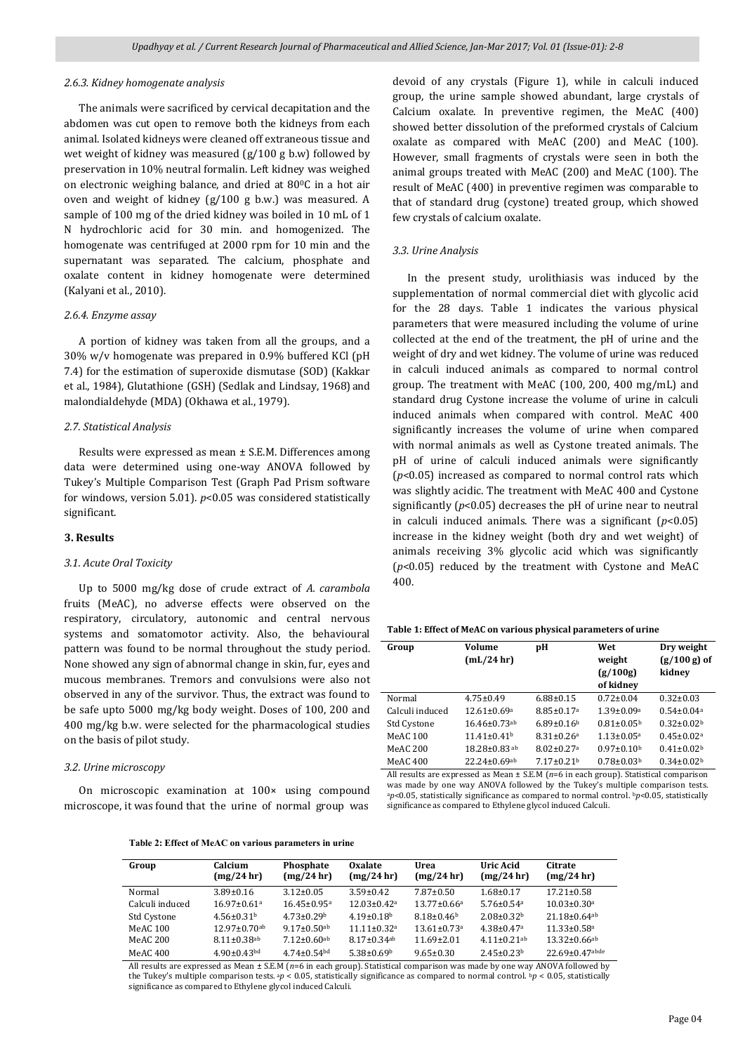#### *2.6.3. Kidney homogenate analysis*

 The animals were sacrificed by cervical decapitation and the abdomen was cut open to remove both the kidneys from each animal. Isolated kidneys were cleaned off extraneous tissue and wet weight of kidney was measured (g/100 g b.w) followed by preservation in 10% neutral formalin. Left kidney was weighed on electronic weighing balance, and dried at 800C in a hot air oven and weight of kidney (g/100 g b.w.) was measured. A sample of 100 mg of the dried kidney was boiled in 10 mL of 1 N hydrochloric acid for 30 min. and homogenized. The homogenate was centrifuged at 2000 rpm for 10 min and the supernatant was separated. The calcium, phosphate and oxalate content in kidney homogenate were determined (Kalyani et al., 2010).

#### *2.6.4. Enzyme assay*

 A portion of kidney was taken from all the groups, and a 30% w/v homogenate was prepared in 0.9% buffered KCl (pH 7.4) for the estimation of superoxide dismutase (SOD) (Kakkar et al., 1984), Glutathione (GSH) (Sedlak and Lindsay, 1968) and malondialdehyde (MDA) (Okhawa et al., 1979).

#### *2.7. Statistical Analysis*

 Results were expressed as mean ± S.E.M. Differences among data were determined using one-way ANOVA followed by Tukey's Multiple Comparison Test (Graph Pad Prism software for windows, version 5.01). *p*<0.05 was considered statistically significant.

### **3. Results**

#### *3.1. Acute Oral Toxicity*

 Up to 5000 mg/kg dose of crude extract of *A. carambola*  fruits (MeAC), no adverse effects were observed on the respiratory, circulatory, autonomic and central nervous systems and somatomotor activity. Also, the behavioural pattern was found to be normal throughout the study period. None showed any sign of abnormal change in skin, fur, eyes and mucous membranes. Tremors and convulsions were also not observed in any of the survivor. Thus, the extract was found to be safe upto 5000 mg/kg body weight. Doses of 100, 200 and 400 mg/kg b.w. were selected for the pharmacological studies on the basis of pilot study.

# *3.2. Urine microscopy*

 On microscopic examination at 100× using compound microscope, it was found that the urine of normal group was

devoid of any crystals (Figure 1), while in calculi induced group, the urine sample showed abundant, large crystals of Calcium oxalate. In preventive regimen, the MeAC (400) showed better dissolution of the preformed crystals of Calcium oxalate as compared with MeAC (200) and MeAC (100). However, small fragments of crystals were seen in both the animal groups treated with MeAC (200) and MeAC (100). The result of MeAC (400) in preventive regimen was comparable to that of standard drug (cystone) treated group, which showed few crystals of calcium oxalate.

#### *3.3. Urine Analysis*

 In the present study, urolithiasis was induced by the supplementation of normal commercial diet with glycolic acid for the 28 days. Table 1 indicates the various physical parameters that were measured including the volume of urine collected at the end of the treatment, the pH of urine and the weight of dry and wet kidney. The volume of urine was reduced in calculi induced animals as compared to normal control group. The treatment with MeAC (100, 200, 400 mg/mL) and standard drug Cystone increase the volume of urine in calculi induced animals when compared with control. MeAC 400 significantly increases the volume of urine when compared with normal animals as well as Cystone treated animals. The pH of urine of calculi induced animals were significantly (*p*<0.05) increased as compared to normal control rats which was slightly acidic. The treatment with MeAC 400 and Cystone significantly  $(p<0.05)$  decreases the pH of urine near to neutral in calculi induced animals. There was a significant (*p*<0.05) increase in the kidney weight (both dry and wet weight) of animals receiving 3% glycolic acid which was significantly (*p*<0.05) reduced by the treatment with Cystone and MeAC 400.

|  |  |  |  |  | Table 1: Effect of MeAC on various physical parameters of urine |
|--|--|--|--|--|-----------------------------------------------------------------|
|--|--|--|--|--|-----------------------------------------------------------------|

| Group           | Volume<br>$mL/24$ hr)          | рH                           | Wet<br>weight<br>(g/100g)<br>of kidney | Dry weight<br>$(g/100 g)$ of<br>kidnev |
|-----------------|--------------------------------|------------------------------|----------------------------------------|----------------------------------------|
| Normal          | $4.75 \pm 0.49$                | $6.88 \pm 0.15$              | $0.72 \pm 0.04$                        | $0.32 \pm 0.03$                        |
| Calculi induced | $12.61 \pm 0.69$ <sup>a</sup>  | $8.85 \pm 0.17$ <sup>a</sup> | $1.39 \pm 0.09^a$                      | $0.54 \pm 0.04$ <sup>a</sup>           |
| Std Cystone     | $16.46 \pm 0.73$ <sup>ab</sup> | $6.89 \pm 0.16^b$            | $0.81 \pm 0.05^{\rm b}$                | $0.32 \pm 0.02^b$                      |
| <b>MeAC 100</b> | $11.41 \pm 0.41^b$             | $8.31 \pm 0.26$ <sup>a</sup> | $1.13 \pm 0.05^a$                      | $0.45 \pm 0.02$ <sup>a</sup>           |
| MeAC 200        | $18.28 \pm 0.83$ <sup>ab</sup> | $8.02 \pm 0.27$ <sup>a</sup> | $0.97 \pm 0.10^b$                      | $0.41 \pm 0.02^b$                      |
| MeAC 400        | $22.24 \pm 0.69$ <sup>ab</sup> | $7.17 \pm 0.21^{\rm b}$      | $0.78 \pm 0.03^{\rm b}$                | $0.34 \pm 0.02^b$                      |
|                 |                                |                              |                                        |                                        |

All results are expressed as Mean ± S.E.M (*n*=6 in each group). Statistical comparison was made by one way ANOVA followed by the Tukey's multiple comparison tests. <sup>a</sup>*p*<0.05, statistically significance as compared to normal control. b*p*<0.05, statistically significance as compared to Ethylene glycol induced Calculi.

**Table 2: Effect of MeAC on various parameters in urine** 

| Group           | Calcium<br>(mg/24 hr)         | Phosphate<br>(mg/24 hr)       | <b>Oxalate</b><br>(mg/24 hr)  | Urea<br>(mg/24 hr)            | Uric Acid<br>(mg/24hr)       | Citrate<br>(mg/24 hr)          |
|-----------------|-------------------------------|-------------------------------|-------------------------------|-------------------------------|------------------------------|--------------------------------|
| Normal          | $3.89 \pm 0.16$               | $3.12 \pm 0.05$               | $3.59 \pm 0.42$               | $7.87 \pm 0.50$               | $1.68 \pm 0.17$              | $17.21 \pm 0.58$               |
| Calculi induced | $16.97 \pm 0.61$ <sup>a</sup> | $16.45 \pm 0.95$ <sup>a</sup> | $12.03 \pm 0.42$ <sup>a</sup> | $13.77 \pm 0.66^a$            | $5.76 \pm 0.54$ <sup>a</sup> | $10.03 \pm 0.30$ <sup>a</sup>  |
| Std Cystone     | $4.56 \pm 0.31$ <sup>b</sup>  | $4.73 \pm 0.29$               | $4.19 \pm 0.18$ <sup>b</sup>  | $8.18 \pm 0.46$               | $2.08 \pm 0.32$ <sup>b</sup> | $21.18 \pm 0.64$ <sup>ab</sup> |
| MeAC 100        | $12.97 \pm 0.70$ ab           | $9.17 \pm 0.50$ ab            | $11.11 \pm 0.32$ <sup>a</sup> | $13.61 \pm 0.73$ <sup>a</sup> | $4.38 \pm 0.47$ <sup>a</sup> | $11.33 \pm 0.58$ <sup>a</sup>  |
| MeAC 200        | $8.11 \pm 0.38$ ab            | $7.12 \pm 0.60$ <sup>ab</sup> | $8.17 \pm 0.34$ <sup>ab</sup> | $11.69 \pm 2.01$              | $4.11 \pm 0.21$ ab           | $13.32 \pm 0.66$ <sup>ab</sup> |
| MeAC 400        | $4.90 \pm 0.43$ <sup>bd</sup> | $4.74 + 0.54$ <sup>bd</sup>   | $5.38 \pm 0.69$ <sup>b</sup>  | $9.65 \pm 0.30$               | $2.45 \pm 0.23^b$            | $22.69 \pm 0.47$ abde          |

All results are expressed as Mean ± S.E.M (*n*=6 in each group). Statistical comparison was made by one way ANOVA followed by the Tukey's multiple comparison tests. *p* < 0.05, statistically significance as compared to normal control. *b<sub>p</sub>* < 0.05, statistically significance as compared to Ethylene glycol induced Calculi.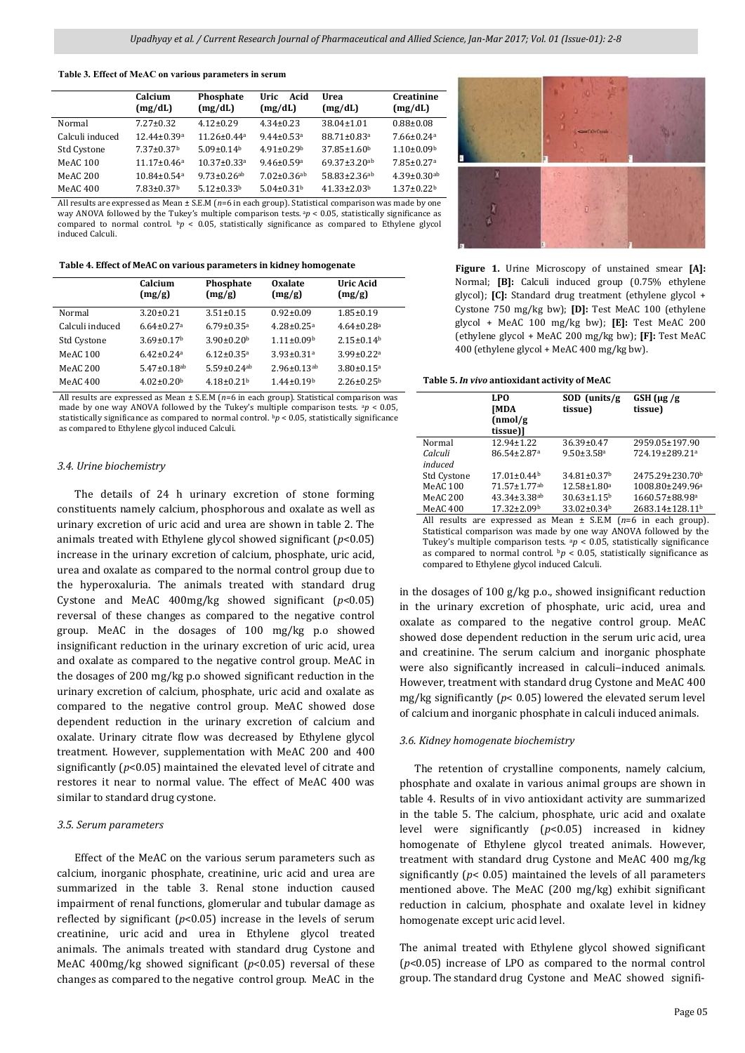**Table 3. Effect of MeAC on various parameters in serum** 

|                 | Calcium<br>(mg/dL)            | Phosphate<br>(mg/dL)          | Acid<br>Uric<br>(mg/dL)       | Urea<br>(mg/dL)                | Creatinine<br>(mg/dL)         |
|-----------------|-------------------------------|-------------------------------|-------------------------------|--------------------------------|-------------------------------|
| Normal          | $7.27 \pm 0.32$               | $4.12 + 0.29$                 | $4.34 + 0.23$                 | $38.04 \pm 1.01$               | $0.88 \pm 0.08$               |
| Calculi induced | $12.44 \pm 0.39$ <sup>a</sup> | $11.26 \pm 0.44^a$            | $9.44 \pm 0.53$ <sup>a</sup>  | $88.71 \pm 0.83$ <sup>a</sup>  | $7.66 \pm 0.24$ <sup>a</sup>  |
| Std Cystone     | $7.37 \pm 0.37$ <sup>b</sup>  | $5.09 + 0.14b$                | $4.91 + 0.29$                 | $37.85 \pm 1.60$               | $1.10 \pm 0.09$ <sup>b</sup>  |
| MeAC 100        | $11.17 \pm 0.46^a$            | $10.37 \pm 0.33$ <sup>a</sup> | $9.46 \pm 0.59$ <sup>a</sup>  | $69.37 \pm 3.20$ ab            | $7.85 \pm 0.27$ <sup>a</sup>  |
| MeAC 200        | $10.84 \pm 0.54$ <sup>a</sup> | $9.73 \pm 0.26$ <sup>ab</sup> | $7.02 \pm 0.36$ <sup>ab</sup> | $58.83 \pm 2.36$ <sup>ab</sup> | $4.39 \pm 0.30$ <sup>ab</sup> |
| MeAC 400        | $7.83 \pm 0.37$ <sup>b</sup>  | $5.12 \pm 0.33^b$             | $5.04 + 0.31b$                | $41.33 \pm 2.03^b$             | $1.37 \pm 0.22^b$             |

All results are expressed as Mean ± S.E.M (*n*=6 in each group). Statistical comparison was made by one way ANOVA followed by the Tukey's multiple comparison tests.  $ap < 0.05$ , statistically significance as compared to normal control. b*p* < 0.05, statistically significance as compared to Ethylene glycol induced Calculi.

**Table 4. Effect of MeAC on various parameters in kidney homogenate**

|                 | Calcium<br>(mg/g)            | Phosphate<br>(mg/g)          | Oxalate<br>(mg/g)             | Uric Acid<br>(mg/g)          |
|-----------------|------------------------------|------------------------------|-------------------------------|------------------------------|
| Normal          | $3.20 \pm 0.21$              | $3.51 \pm 0.15$              | $0.92 \pm 0.09$               | $1.85 \pm 0.19$              |
| Calculi induced | $6.64 \pm 0.27$ <sup>a</sup> | $6.79 \pm 0.35$ <sup>a</sup> | $4.28 \pm 0.25$ <sup>a</sup>  | $4.64 \pm 0.28$ <sup>a</sup> |
| Std Cystone     | $3.69 \pm 0.17$ <sup>b</sup> | $3.90 \pm 0.20$              | $1.11 \pm 0.09b$              | $2.15 \pm 0.14$ <sup>b</sup> |
| MeAC 100        | $6.42 \pm 0.24$ <sup>a</sup> | $6.12 \pm 0.35$ <sup>a</sup> | $3.93 \pm 0.31$ <sup>a</sup>  | $3.99 \pm 0.22$ <sup>a</sup> |
| MeAC 200        | $5.47 \pm 0.18$ ab           | $5.59 \pm 0.24$ ab           | $2.96 \pm 0.13$ <sup>ab</sup> | $3.80 \pm 0.15$ <sup>a</sup> |
| MeAC 400        | $4.02 \pm 0.20^{\rm b}$      | $4.18 \pm 0.21^{\rm b}$      | $1.44 \pm 0.19^b$             | $2.26 \pm 0.25^{\rm b}$      |

All results are expressed as Mean ± S.E.M (*n*=6 in each group). Statistical comparison was made by one way ANOVA followed by the Tukey's multiple comparison tests.  $a_p < 0.05$ , statistically significance as compared to normal control. b*p* < 0.05, statistically significance as compared to Ethylene glycol induced Calculi.

#### *3.4. Urine biochemistry*

 The details of 24 h urinary excretion of stone forming constituents namely calcium, phosphorous and oxalate as well as urinary excretion of uric acid and urea are shown in table 2. The animals treated with Ethylene glycol showed significant (*p*<0.05) increase in the urinary excretion of calcium, phosphate, uric acid, urea and oxalate as compared to the normal control group due to the hyperoxaluria. The animals treated with standard drug Cystone and MeAC 400mg/kg showed significant (*p*<0.05) reversal of these changes as compared to the negative control group. MeAC in the dosages of 100 mg/kg p.o showed insignificant reduction in the urinary excretion of uric acid, urea and oxalate as compared to the negative control group. MeAC in the dosages of 200 mg/kg p.o showed significant reduction in the urinary excretion of calcium, phosphate, uric acid and oxalate as compared to the negative control group. MeAC showed dose dependent reduction in the urinary excretion of calcium and oxalate. Urinary citrate flow was decreased by Ethylene glycol treatment. However, supplementation with MeAC 200 and 400 significantly (*p*<0.05) maintained the elevated level of citrate and restores it near to normal value. The effect of MeAC 400 was similar to standard drug cystone.

#### *3.5. Serum parameters*

 Effect of the MeAC on the various serum parameters such as calcium, inorganic phosphate, creatinine, uric acid and urea are summarized in the table 3. Renal stone induction caused impairment of renal functions, glomerular and tubular damage as reflected by significant  $(p<0.05)$  increase in the levels of serum creatinine, uric acid and urea in Ethylene glycol treated animals. The animals treated with standard drug Cystone and MeAC 400mg/kg showed significant ( $p$ <0.05) reversal of these changes as compared to the negative control group. MeAC in the



**Figure 1.** Urine Microscopy of unstained smear **[A]:** Normal; **[B]:** Calculi induced group (0.75% ethylene glycol); **[C]:** Standard drug treatment (ethylene glycol + Cystone 750 mg/kg bw); **[D]:** Test MeAC 100 (ethylene glycol + MeAC 100 mg/kg bw); **[E]:** Test MeAC 200 (ethylene glycol + MeAC 200 mg/kg bw); **[F]:** Test MeAC 400 (ethylene glycol + MeAC 400 mg/kg bw).

#### **Table 5.** *In vivo* **antioxidant activity of MeAC**

|                 | <b>LPO</b><br><b>[MDA</b><br>(nmol/g)<br>tissue)] | $SOD$ (units/g)<br>tissue)    | $GSH(\mu g/g)$<br>tissue)                                        |
|-----------------|---------------------------------------------------|-------------------------------|------------------------------------------------------------------|
| Normal          | $12.94 \pm 1.22$                                  | $36.39 \pm 0.47$              | 2959.05±197.90                                                   |
| Calculi         | 86.54±2.87 <sup>a</sup>                           | $9.50 \pm 3.58$ <sup>a</sup>  | 724.19±289.21ª                                                   |
| induced         |                                                   |                               |                                                                  |
| Std Cystone     | $17.01 \pm 0.44$ <sup>b</sup>                     | 34.81±0.37 <sup>b</sup>       | 2475.29±230.70b                                                  |
| <b>MeAC 100</b> | 71.57±1.77ab                                      | $12.58 \pm 1.80^a$            | 1008.80±249.96ª                                                  |
| <b>MeAC 200</b> | $43.34 \pm 3.38$ ab                               | $30.63 \pm 1.15^b$            | 1660.57±88.98ª                                                   |
| <b>MeAC 400</b> | $17.32 \pm 2.09^{\rm b}$                          | $33.02 \pm 0.34$ <sup>b</sup> | 2683.14±128.11 <sup>b</sup>                                      |
|                 |                                                   |                               | All according one concerned in Mean at CEM (a C in real concern) |

All results are expressed as Mean ± S.E.M (*n*=6 in each group). Statistical comparison was made by one way ANOVA followed by the Tukey's multiple comparison tests.  $^{a}p < 0.05$ , statistically significance as compared to normal control.  $b$ *p* < 0.05, statistically significance as compared to Ethylene glycol induced Calculi.

in the dosages of 100 g/kg p.o., showed insignificant reduction in the urinary excretion of phosphate, uric acid, urea and oxalate as compared to the negative control group. MeAC showed dose dependent reduction in the serum uric acid, urea and creatinine. The serum calcium and inorganic phosphate were also significantly increased in calculi-induced animals. However, treatment with standard drug Cystone and MeAC 400 mg/kg significantly (*p*< 0.05) lowered the elevated serum level of calcium and inorganic phosphate in calculi induced animals.

#### *3.6. Kidney homogenate biochemistry*

 The retention of crystalline components, namely calcium, phosphate and oxalate in various animal groups are shown in table 4. Results of in vivo antioxidant activity are summarized in the table 5. The calcium, phosphate, uric acid and oxalate level were significantly (*p*<0.05) increased in kidney homogenate of Ethylene glycol treated animals. However, treatment with standard drug Cystone and MeAC 400 mg/kg significantly (*p*< 0.05) maintained the levels of all parameters mentioned above. The MeAC (200 mg/kg) exhibit significant reduction in calcium, phosphate and oxalate level in kidney homogenate except uric acid level.

The animal treated with Ethylene glycol showed significant (*p*<0.05) increase of LPO as compared to the normal control group. The standard drug Cystone and MeAC showed signifi-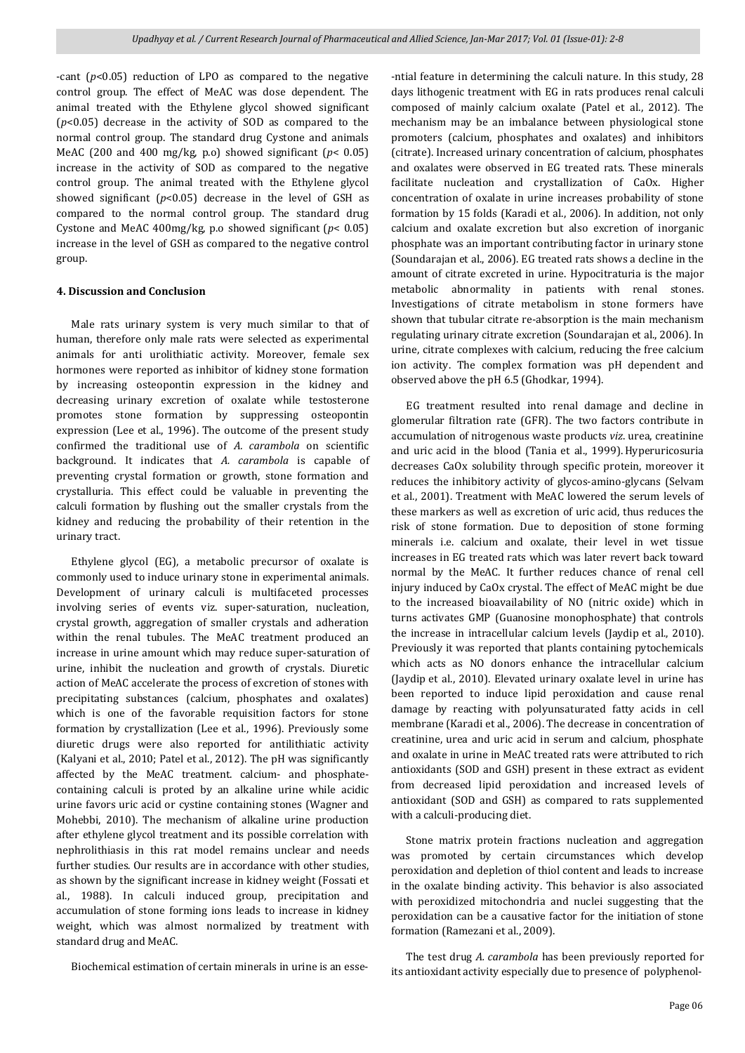-cant (*p*<0.05) reduction of LPO as compared to the negative control group. The effect of MeAC was dose dependent. The animal treated with the Ethylene glycol showed significant (*p*<0.05) decrease in the activity of SOD as compared to the normal control group. The standard drug Cystone and animals MeAC (200 and 400 mg/kg, p.o) showed significant (*p*< 0.05) increase in the activity of SOD as compared to the negative control group. The animal treated with the Ethylene glycol showed significant (*p*<0.05) decrease in the level of GSH as compared to the normal control group. The standard drug Cystone and MeAC 400mg/kg, p.o showed significant (*p*< 0.05) increase in the level of GSH as compared to the negative control group.

### **4. Discussion and Conclusion**

 Male rats urinary system is very much similar to that of human, therefore only male rats were selected as experimental animals for anti urolithiatic activity. Moreover, female sex hormones were reported as inhibitor of kidney stone formation by increasing osteopontin expression in the kidney and decreasing urinary excretion of oxalate while testosterone promotes stone formation by suppressing osteopontin expression (Lee et al., 1996). The outcome of the present study confirmed the traditional use of *A. carambola* on scientific background. It indicates that *A. carambola* is capable of preventing crystal formation or growth, stone formation and crystalluria. This effect could be valuable in preventing the calculi formation by flushing out the smaller crystals from the kidney and reducing the probability of their retention in the urinary tract.

 Ethylene glycol (EG), a metabolic precursor of oxalate is commonly used to induce urinary stone in experimental animals. Development of urinary calculi is multifaceted processes involving series of events viz. super-saturation, nucleation, crystal growth, aggregation of smaller crystals and adheration within the renal tubules. The MeAC treatment produced an increase in urine amount which may reduce super-saturation of urine, inhibit the nucleation and growth of crystals. Diuretic action of MeAC accelerate the process of excretion of stones with precipitating substances (calcium, phosphates and oxalates) which is one of the favorable requisition factors for stone formation by crystallization (Lee et al., 1996). Previously some diuretic drugs were also reported for antilithiatic activity (Kalyani et al., 2010; Patel et al., 2012). The pH was significantly affected by the MeAC treatment. calcium- and phosphatecontaining calculi is proted by an alkaline urine while acidic urine favors uric acid or cystine containing stones (Wagner and Mohebbi, 2010). The mechanism of alkaline urine production after ethylene glycol treatment and its possible correlation with nephrolithiasis in this rat model remains unclear and needs further studies. Our results are in accordance with other studies, as shown by the significant increase in kidney weight (Fossati et al., 1988). In calculi induced group, precipitation and accumulation of stone forming ions leads to increase in kidney weight, which was almost normalized by treatment with standard drug and MeAC.

Biochemical estimation of certain minerals in urine is an esse-

-ntial feature in determining the calculi nature. In this study, 28 days lithogenic treatment with EG in rats produces renal calculi composed of mainly calcium oxalate (Patel et al., 2012). The mechanism may be an imbalance between physiological stone promoters (calcium, phosphates and oxalates) and inhibitors (citrate). Increased urinary concentration of calcium, phosphates and oxalates were observed in EG treated rats. These minerals facilitate nucleation and crystallization of CaOx. Higher concentration of oxalate in urine increases probability of stone formation by 15 folds (Karadi et al., 2006). In addition, not only calcium and oxalate excretion but also excretion of inorganic phosphate was an important contributing factor in urinary stone (Soundarajan et al., 2006). EG treated rats shows a decline in the amount of citrate excreted in urine. Hypocitraturia is the major metabolic abnormality in patients with renal stones. Investigations of citrate metabolism in stone formers have shown that tubular citrate re-absorption is the main mechanism regulating urinary citrate excretion (Soundarajan et al., 2006). In urine, citrate complexes with calcium, reducing the free calcium ion activity. The complex formation was pH dependent and observed above the pH 6.5 (Ghodkar, 1994).

 EG treatment resulted into renal damage and decline in glomerular filtration rate (GFR). The two factors contribute in accumulation of nitrogenous waste products *viz*. urea, creatinine and uric acid in the blood (Tania et al., 1999).Hyperuricosuria decreases CaOx solubility through specific protein, moreover it reduces the inhibitory activity of glycos-amino-glycans (Selvam et al., 2001). Treatment with MeAC lowered the serum levels of these markers as well as excretion of uric acid, thus reduces the risk of stone formation. Due to deposition of stone forming minerals i.e. calcium and oxalate, their level in wet tissue increases in EG treated rats which was later revert back toward normal by the MeAC. It further reduces chance of renal cell injury induced by CaOx crystal. The effect of MeAC might be due to the increased bioavailability of NO (nitric oxide) which in turns activates GMP (Guanosine monophosphate) that controls the increase in intracellular calcium levels (Jaydip et al., 2010). Previously it was reported that plants containing pytochemicals which acts as NO donors enhance the intracellular calcium (Jaydip et al., 2010). Elevated urinary oxalate level in urine has been reported to induce lipid peroxidation and cause renal damage by reacting with polyunsaturated fatty acids in cell membrane (Karadi et al., 2006). The decrease in concentration of creatinine, urea and uric acid in serum and calcium, phosphate and oxalate in urine in MeAC treated rats were attributed to rich antioxidants (SOD and GSH) present in these extract as evident from decreased lipid peroxidation and increased levels of antioxidant (SOD and GSH) as compared to rats supplemented with a calculi-producing diet.

 Stone matrix protein fractions nucleation and aggregation was promoted by certain circumstances which develop peroxidation and depletion of thiol content and leads to increase in the oxalate binding activity. This behavior is also associated with peroxidized mitochondria and nuclei suggesting that the peroxidation can be a causative factor for the initiation of stone formation (Ramezani et al., 2009).

 The test drug *A. carambola* has been previously reported for its antioxidant activity especially due to presence of polyphenol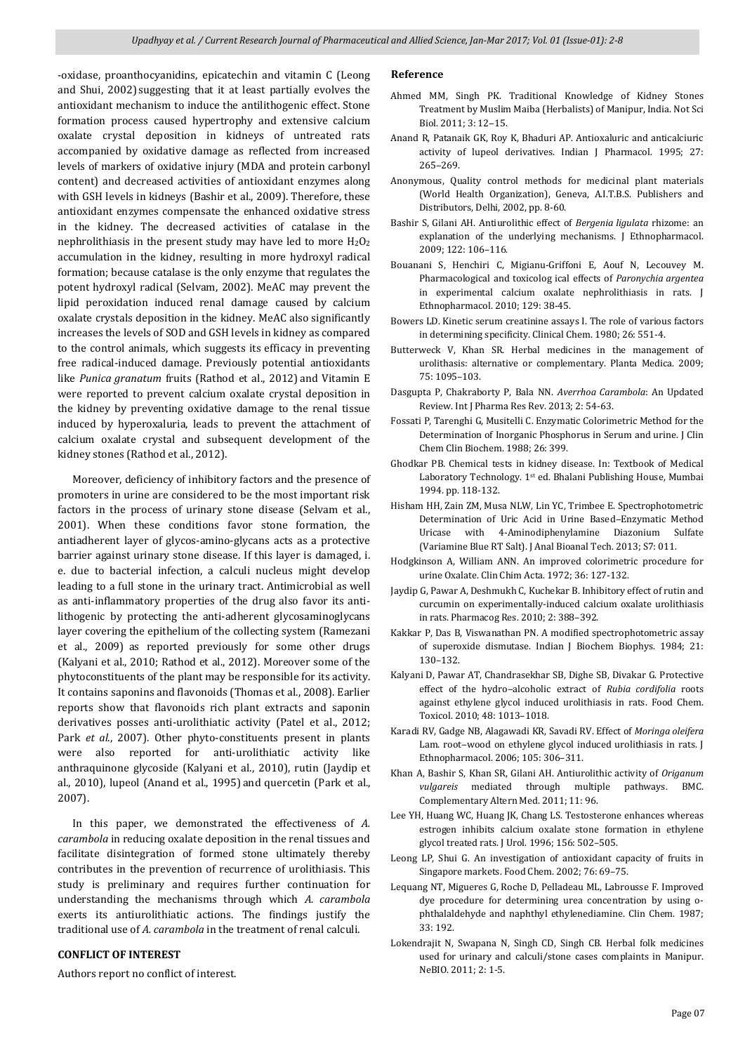-oxidase, proanthocyanidins, epicatechin and vitamin C (Leong and Shui, 2002) suggesting that it at least partially evolves the antioxidant mechanism to induce the antilithogenic effect. Stone formation process caused hypertrophy and extensive calcium oxalate crystal deposition in kidneys of untreated rats accompanied by oxidative damage as reflected from increased levels of markers of oxidative injury (MDA and protein carbonyl content) and decreased activities of antioxidant enzymes along with GSH levels in kidneys (Bashir et al., 2009). Therefore, these antioxidant enzymes compensate the enhanced oxidative stress in the kidney. The decreased activities of catalase in the nephrolithiasis in the present study may have led to more  $H_2O_2$ accumulation in the kidney, resulting in more hydroxyl radical formation; because catalase is the only enzyme that regulates the potent hydroxyl radical (Selvam, 2002). MeAC may prevent the lipid peroxidation induced renal damage caused by calcium oxalate crystals deposition in the kidney. MeAC also significantly increases the levels of SOD and GSH levels in kidney as compared to the control animals, which suggests its efficacy in preventing free radical-induced damage. Previously potential antioxidants like *Punica granatum* fruits (Rathod et al., 2012) and Vitamin E were reported to prevent calcium oxalate crystal deposition in the kidney by preventing oxidative damage to the renal tissue induced by hyperoxaluria, leads to prevent the attachment of calcium oxalate crystal and subsequent development of the kidney stones (Rathod et al., 2012).

 Moreover, deficiency of inhibitory factors and the presence of promoters in urine are considered to be the most important risk factors in the process of urinary stone disease (Selvam et al., 2001). When these conditions favor stone formation, the antiadherent layer of glycos-amino-glycans acts as a protective barrier against urinary stone disease. If this layer is damaged, i. e. due to bacterial infection, a calculi nucleus might develop leading to a full stone in the urinary tract. Antimicrobial as well as anti-inflammatory properties of the drug also favor its antilithogenic by protecting the anti-adherent glycosaminoglycans layer covering the epithelium of the collecting system (Ramezani et al., 2009) as reported previously for some other drugs (Kalyani et al., 2010; Rathod et al., 2012). Moreover some of the phytoconstituents of the plant may be responsible for its activity. It contains saponins and flavonoids (Thomas et al., 2008). Earlier reports show that flavonoids rich plant extracts and saponin derivatives posses anti-urolithiatic activity (Patel et al., 2012; Park *et al*., 2007). Other phyto-constituents present in plants were also reported for anti-urolithiatic activity like anthraquinone glycoside (Kalyani et al., 2010), rutin (Jaydip et al., 2010), lupeol (Anand et al., 1995) and quercetin (Park et al., 2007).

 In this paper, we demonstrated the effectiveness of *A. carambola* in reducing oxalate deposition in the renal tissues and facilitate disintegration of formed stone ultimately thereby contributes in the prevention of recurrence of urolithiasis. This study is preliminary and requires further continuation for understanding the mechanisms through which *A. carambola* exerts its antiurolithiatic actions. The findings justify the traditional use of *A. carambola* in the treatment of renal calculi.

# **CONFLICT OF INTEREST**

Authors report no conflict of interest.

# **Reference**

- Ahmed MM, Singh PK. Traditional Knowledge of Kidney Stones Treatment by Muslim Maiba (Herbalists) of Manipur, India. Not Sci Biol. 2011; 3: 12-15.
- Anand R, Patanaik GK, Roy K, Bhaduri AP. Antioxaluric and anticalciuric activity of lupeol derivatives. Indian J Pharmacol. 1995; 27: 265‒269.
- Anonymous, Quality control methods for medicinal plant materials (World Health Organization), Geneva, A.I.T.B.S. Publishers and Distributors, Delhi, 2002, pp. 8-60.
- Bashir S, Gilani AH. Antiurolithic effect of *Bergenia ligulata* rhizome: an explanation of the underlying mechanisms. J Ethnopharmacol. 2009; 122: 106–116.
- Bouanani S, Henchiri C, Migianu-Griffoni E, Aouf N, Lecouvey M. Pharmacological and toxicolog ical effects of *Paronychia argentea* in experimental calcium oxalate nephrolithiasis in rats. J Ethnopharmacol. 2010; 129: 38-45.
- Bowers LD. Kinetic serum creatinine assays I. The role of various factors in determining specificity. Clinical Chem. 1980; 26: 551-4.
- Butterweck V, Khan SR. Herbal medicines in the management of urolithasis: alternative or complementary. Planta Medica. 2009; 75: 1095–103.
- Dasgupta P, Chakraborty P, Bala NN. *Averrhoa Carambola*: An Updated Review. Int J Pharma Res Rev. 2013; 2: 54-63.
- Fossati P, Tarenghi G, Musitelli C. Enzymatic Colorimetric Method for the Determination of Inorganic Phosphorus in Serum and urine. J Clin Chem Clin Biochem. 1988; 26: 399.
- Ghodkar PB. Chemical tests in kidney disease. In: Textbook of Medical Laboratory Technology. 1st ed. Bhalani Publishing House, Mumbai 1994. pp. 118-132.
- Hisham HH, Zain ZM, Musa NLW, Lin YC, Trimbee E. Spectrophotometric Determination of Uric Acid in Urine Based-Enzymatic Method Uricase with 4-Aminodiphenylamine Diazonium Sulfate (Variamine Blue RT Salt). J Anal Bioanal Tech. 2013; S7: 011.
- Hodgkinson A, William ANN. An improved colorimetric procedure for urine Oxalate. Clin Chim Acta. 1972; 36: 127-132.
- Jaydip G, Pawar A, Deshmukh C, Kuchekar B. Inhibitory effect of rutin and curcumin on experimentally-induced calcium oxalate urolithiasis in rats. Pharmacog Res. 2010; 2: 388–392.
- Kakkar P, Das B, Viswanathan PN. A modified spectrophotometric assay of superoxide dismutase. Indian J Biochem Biophys. 1984; 21: 130–132.
- Kalyani D, Pawar AT, Chandrasekhar SB, Dighe SB, Divakar G. Protective effect of the hydro-alcoholic extract of *Rubia cordifolia* roots against ethylene glycol induced urolithiasis in rats. Food Chem. Toxicol. 2010; 48: 1013–1018.
- Karadi RV, Gadge NB, Alagawadi KR, Savadi RV. Effect of *Moringa oleifera* Lam. root-wood on ethylene glycol induced urolithiasis in rats. J Ethnopharmacol. 2006; 105: 306–311.
- Khan A, Bashir S, Khan SR, Gilani AH. Antiurolithic activity of *Origanum vulgareis* mediated through multiple pathways. BMC. Complementary Altern Med. 2011; 11: 96.
- Lee YH, Huang WC, Huang JK, Chang LS. Testosterone enhances whereas estrogen inhibits calcium oxalate stone formation in ethylene glycol treated rats. J Urol. 1996; 156: 502–505.
- Leong LP, Shui G. An investigation of antioxidant capacity of fruits in Singapore markets. Food Chem. 2002; 76: 69–75.
- Lequang NT, Migueres G, Roche D, Pelladeau ML, Labrousse F. Improved dye procedure for determining urea concentration by using ophthalaldehyde and naphthyl ethylenediamine. Clin Chem. 1987; 33: 192.
- Lokendrajit N, Swapana N, Singh CD, Singh CB. Herbal folk medicines used for urinary and calculi/stone cases complaints in Manipur. NeBIO. 2011; 2: 1-5.